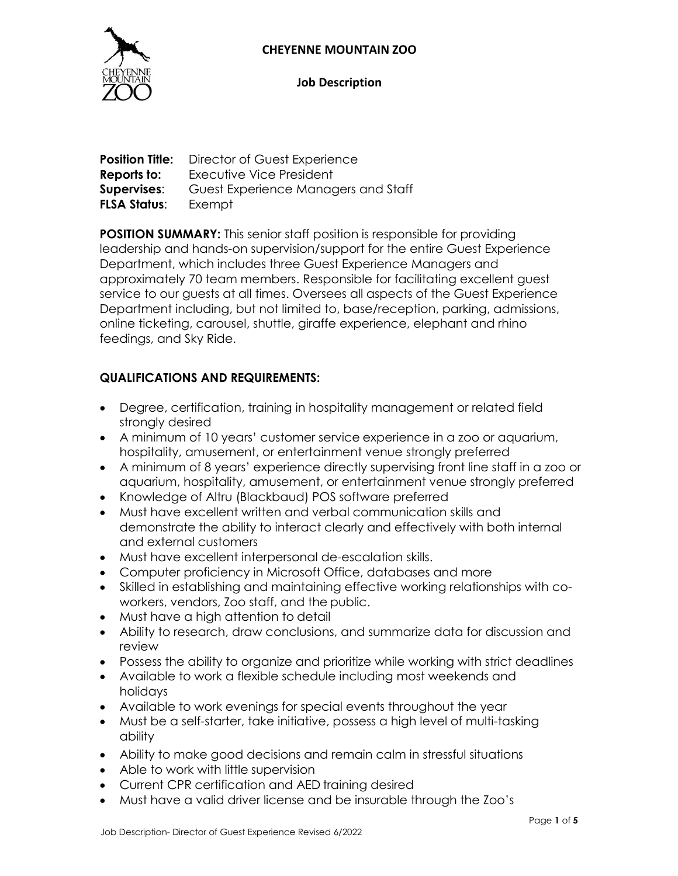### **CHEYENNE MOUNTAIN ZOO**



#### **Job Description**

|                     | <b>Position Title:</b> Director of Guest Experience |
|---------------------|-----------------------------------------------------|
| Reports to:         | Executive Vice President                            |
| Supervises:         | Guest Experience Managers and Staff                 |
| <b>FLSA Status:</b> | Exempt                                              |

**POSITION SUMMARY:** This senior staff position is responsible for providing leadership and hands-on supervision/support for the entire Guest Experience Department, which includes three Guest Experience Managers and approximately 70 team members. Responsible for facilitating excellent guest service to our guests at all times. Oversees all aspects of the Guest Experience Department including, but not limited to, base/reception, parking, admissions, online ticketing, carousel, shuttle, giraffe experience, elephant and rhino feedings, and Sky Ride.

# **QUALIFICATIONS AND REQUIREMENTS:**

- Degree, certification, training in hospitality management or related field strongly desired
- A minimum of 10 years' customer service experience in a zoo or aquarium, hospitality, amusement, or entertainment venue strongly preferred
- A minimum of 8 years' experience directly supervising front line staff in a zoo or aquarium, hospitality, amusement, or entertainment venue strongly preferred
- Knowledge of Altru (Blackbaud) POS software preferred
- Must have excellent written and verbal communication skills and demonstrate the ability to interact clearly and effectively with both internal and external customers
- Must have excellent interpersonal de-escalation skills.
- Computer proficiency in Microsoft Office, databases and more
- Skilled in establishing and maintaining effective working relationships with coworkers, vendors, Zoo staff, and the public.
- Must have a high attention to detail
- Ability to research, draw conclusions, and summarize data for discussion and review
- Possess the ability to organize and prioritize while working with strict deadlines
- Available to work a flexible schedule including most weekends and holidays
- Available to work evenings for special events throughout the year
- Must be a self-starter, take initiative, possess a high level of multi-tasking ability
- Ability to make good decisions and remain calm in stressful situations
- Able to work with little supervision
- Current CPR certification and AED training desired
- Must have a valid driver license and be insurable through the Zoo's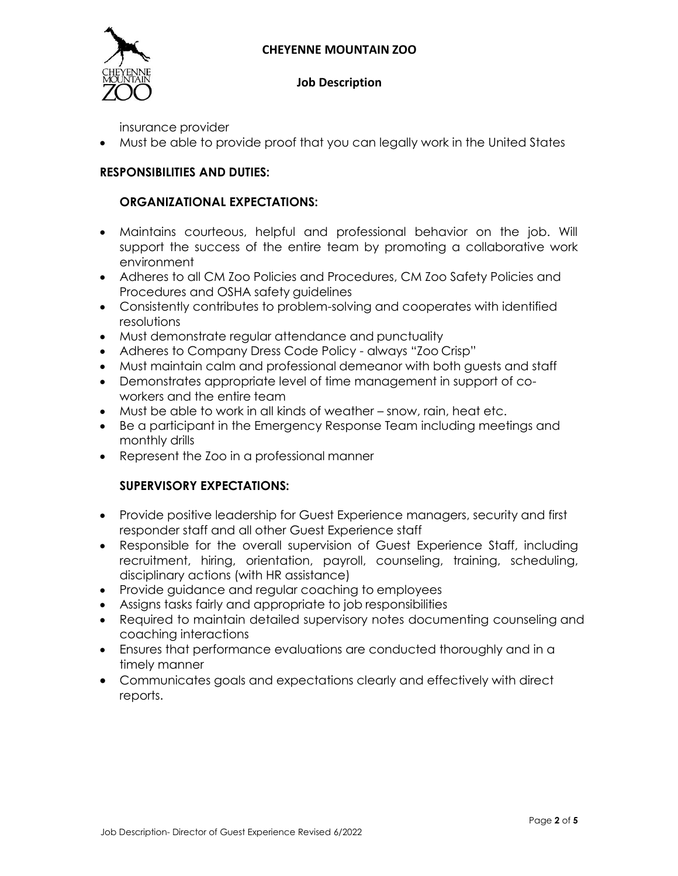### **CHEYENNE MOUNTAIN ZOO**



#### **Job Description**

insurance provider

Must be able to provide proof that you can legally work in the United States

# **RESPONSIBILITIES AND DUTIES:**

#### **ORGANIZATIONAL EXPECTATIONS:**

- Maintains courteous, helpful and professional behavior on the job. Will support the success of the entire team by promoting a collaborative work environment
- Adheres to all CM Zoo Policies and Procedures, CM Zoo Safety Policies and Procedures and OSHA safety guidelines
- Consistently contributes to problem-solving and cooperates with identified resolutions
- Must demonstrate regular attendance and punctuality
- Adheres to Company Dress Code Policy always "Zoo Crisp"
- Must maintain calm and professional demeanor with both guests and staff
- Demonstrates appropriate level of time management in support of coworkers and the entire team
- Must be able to work in all kinds of weather snow, rain, heat etc.
- Be a participant in the Emergency Response Team including meetings and monthly drills
- Represent the Zoo in a professional manner

### **SUPERVISORY EXPECTATIONS:**

- Provide positive leadership for Guest Experience managers, security and first responder staff and all other Guest Experience staff
- Responsible for the overall supervision of Guest Experience Staff, including recruitment, hiring, orientation, payroll, counseling, training, scheduling, disciplinary actions (with HR assistance)
- Provide guidance and regular coaching to employees
- Assigns tasks fairly and appropriate to job responsibilities
- Required to maintain detailed supervisory notes documenting counseling and coaching interactions
- Ensures that performance evaluations are conducted thoroughly and in a timely manner
- Communicates goals and expectations clearly and effectively with direct reports.